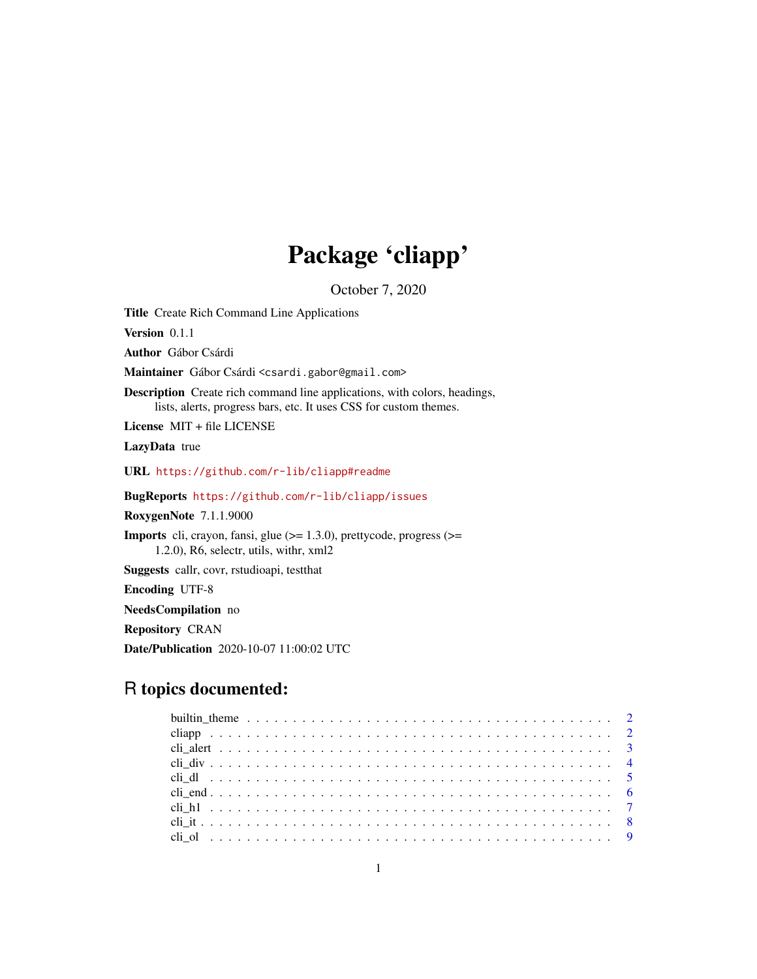# Package 'cliapp'

October 7, 2020

<span id="page-0-0"></span>Title Create Rich Command Line Applications

Version 0.1.1

Author Gábor Csárdi

Maintainer Gábor Csárdi <csardi.gabor@gmail.com>

Description Create rich command line applications, with colors, headings, lists, alerts, progress bars, etc. It uses CSS for custom themes.

License MIT + file LICENSE

LazyData true

URL <https://github.com/r-lib/cliapp#readme>

BugReports <https://github.com/r-lib/cliapp/issues>

RoxygenNote 7.1.1.9000

Imports cli, crayon, fansi, glue (>= 1.3.0), prettycode, progress (>= 1.2.0), R6, selectr, utils, withr, xml2

Suggests callr, covr, rstudioapi, testthat

Encoding UTF-8

NeedsCompilation no

Repository CRAN

Date/Publication 2020-10-07 11:00:02 UTC

# R topics documented: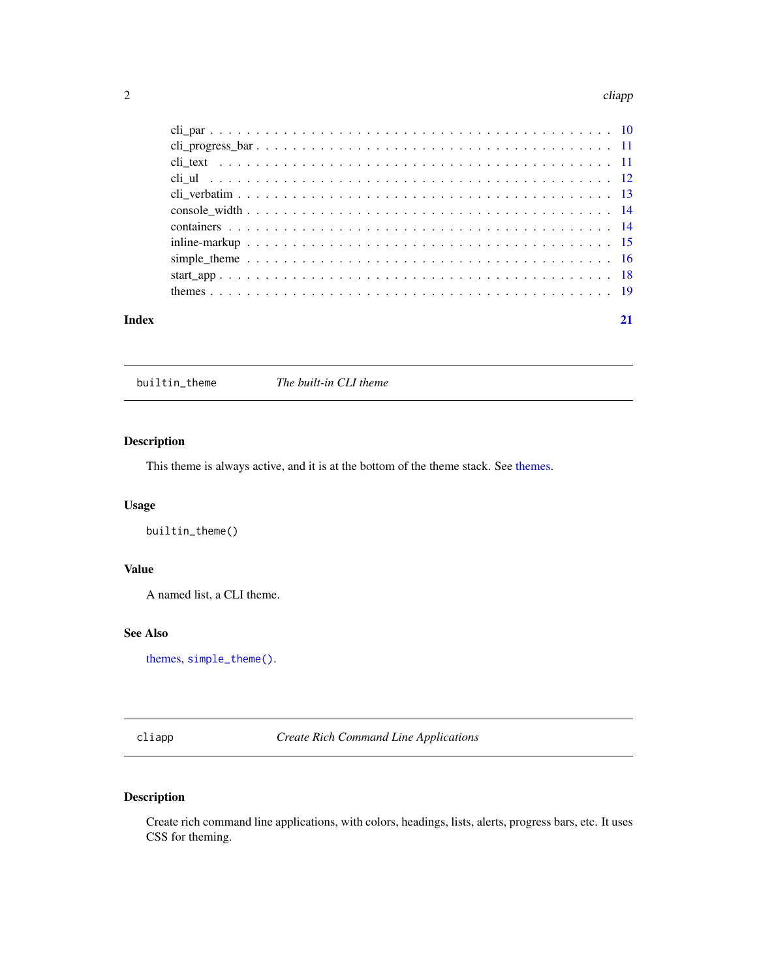#### <span id="page-1-0"></span>2 cliapp and the contract of the contract of the contract of the cliapp cliapp cliapp.

| Index | 21 |
|-------|----|

<span id="page-1-1"></span>builtin\_theme *The built-in CLI theme*

# Description

This theme is always active, and it is at the bottom of the theme stack. See [themes.](#page-18-1)

# Usage

builtin\_theme()

### Value

A named list, a CLI theme.

# See Also

[themes,](#page-18-1) [simple\\_theme\(\)](#page-15-1).

<span id="page-1-2"></span>cliapp *Create Rich Command Line Applications*

# Description

Create rich command line applications, with colors, headings, lists, alerts, progress bars, etc. It uses CSS for theming.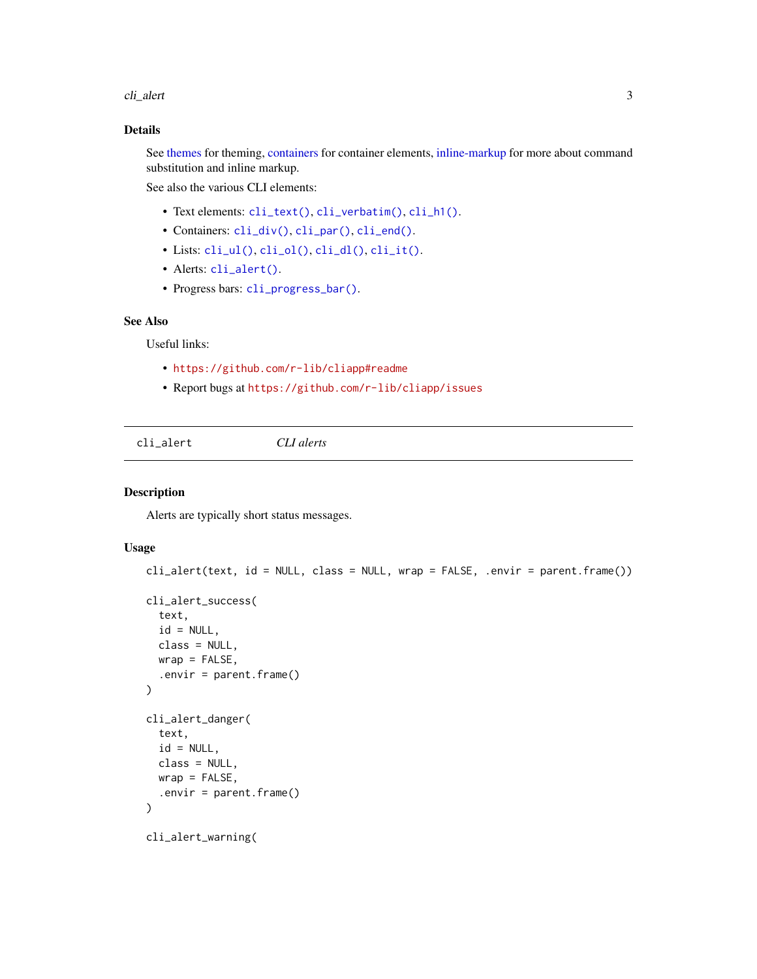<span id="page-2-0"></span>cli\_alert 3

#### Details

See [themes](#page-18-1) for theming, [containers](#page-13-1) for container elements, [inline-markup](#page-14-1) for more about command substitution and inline markup.

See also the various CLI elements:

- Text elements: [cli\\_text\(\)](#page-10-1), [cli\\_verbatim\(\)](#page-12-1), [cli\\_h1\(\)](#page-6-1).
- Containers: [cli\\_div\(\)](#page-3-1), [cli\\_par\(\)](#page-9-1), [cli\\_end\(\)](#page-5-1).
- Lists: [cli\\_ul\(\)](#page-11-1), [cli\\_ol\(\)](#page-8-1), [cli\\_dl\(\)](#page-4-1), [cli\\_it\(\)](#page-7-1).
- Alerts: [cli\\_alert\(\)](#page-2-1).
- Progress bars: [cli\\_progress\\_bar\(\)](#page-10-2).

# See Also

Useful links:

- <https://github.com/r-lib/cliapp#readme>
- Report bugs at <https://github.com/r-lib/cliapp/issues>

<span id="page-2-1"></span>cli\_alert *CLI alerts*

#### Description

Alerts are typically short status messages.

```
cli_alert(text, id = NULL, class = NULL, wrap = FALSE, .envir = parent.frame())
cli_alert_success(
  text,
  id = NULL,class = NULL,
 wrap = FALSE,
  .envir = parent.frame()
)
cli_alert_danger(
  text,
  id = NULL,class = NULL,
 wrap = FALSE,
  .envir = parent.frame()
)
cli_alert_warning(
```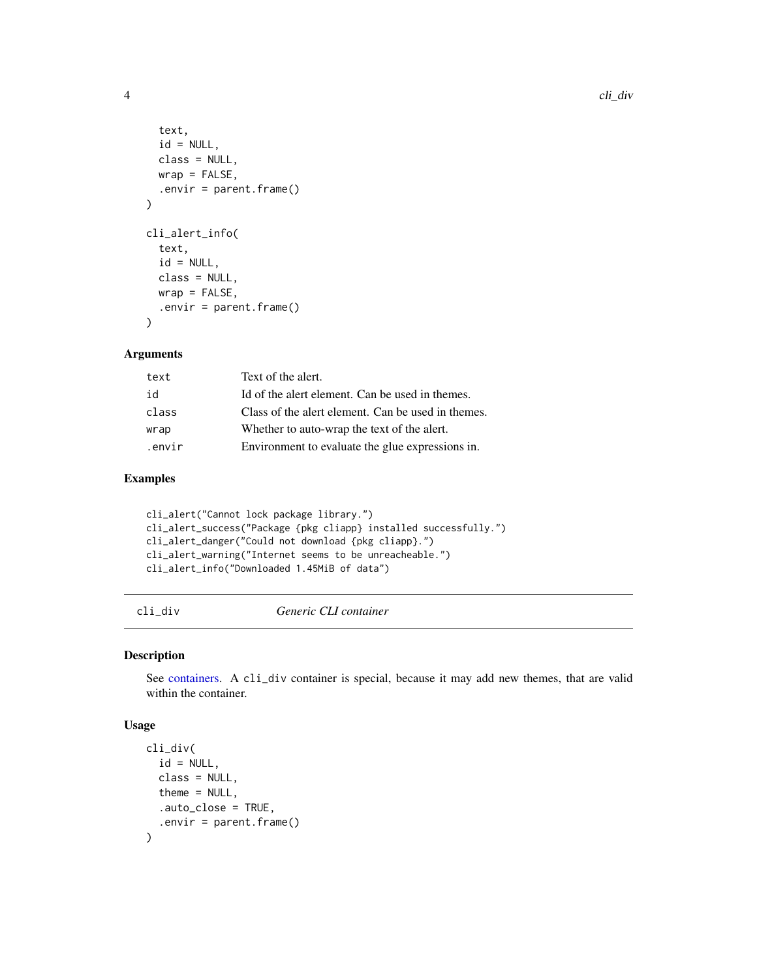```
text,
  id = NULL,class = NULL,
 wrap = FALSE,.envir = parent.frame()
)
cli_alert_info(
  text,
  id = NULL,class = NULL,
 wrap = FALSE,.envir = parent.frame()
)
```
#### Arguments

| text   | Text of the alert.                                 |
|--------|----------------------------------------------------|
| id     | Id of the alert element. Can be used in themes.    |
| class  | Class of the alert element. Can be used in themes. |
| wrap   | Whether to auto-wrap the text of the alert.        |
| .envir | Environment to evaluate the glue expressions in.   |

# Examples

```
cli_alert("Cannot lock package library.")
cli_alert_success("Package {pkg cliapp} installed successfully.")
cli_alert_danger("Could not download {pkg cliapp}.")
cli_alert_warning("Internet seems to be unreacheable.")
cli_alert_info("Downloaded 1.45MiB of data")
```
<span id="page-3-1"></span>cli\_div *Generic CLI container*

#### Description

See [containers.](#page-13-1) A cli\_div container is special, because it may add new themes, that are valid within the container.

```
cli_div(
  id = NULL,class = NULL,
  theme = NULL,
  .auto_close = TRUE,
  .envir = parent.frame()
\mathcal{L}
```
<span id="page-3-0"></span>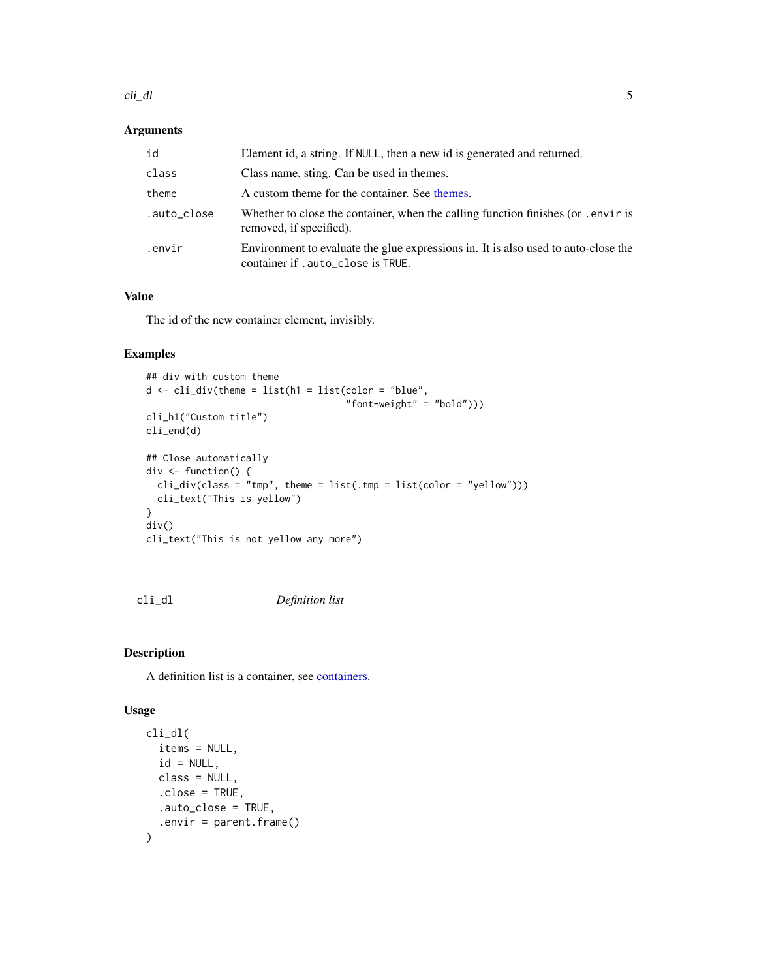#### <span id="page-4-0"></span>cli\_dl 5

# Arguments

| id          | Element id, a string. If NULL, then a new id is generated and returned.                                                 |
|-------------|-------------------------------------------------------------------------------------------------------------------------|
| class       | Class name, sting. Can be used in themes.                                                                               |
| theme       | A custom theme for the container. See themes.                                                                           |
| .auto_close | Whether to close the container, when the calling function finishes (or . envir is<br>removed, if specified).            |
| .envir      | Environment to evaluate the glue expressions in. It is also used to auto-close the<br>container if .auto_close is TRUE. |

#### Value

The id of the new container element, invisibly.

# Examples

```
## div with custom theme
d \leq \text{cli\_div}(\text{them} = \text{list}(\text{h1} = \text{list}(\text{color} = \text{"blue",}"font-weight" = "bold")))
cli_h1("Custom title")
cli_end(d)
## Close automatically
div \leq function() {
  cli\_div(class = "tmp", then = list(.tmp = list(color = "yellow"))cli_text("This is yellow")
}
div()
cli_text("This is not yellow any more")
```
<span id="page-4-1"></span>cli\_dl *Definition list*

# Description

A definition list is a container, see [containers.](#page-13-1)

```
cli_dl(
  items = NULL,
  id = NULL,class = NULL,
  .close = TRUE,
  .auto_close = TRUE,
  .envir = parent.frame()
\mathcal{L}
```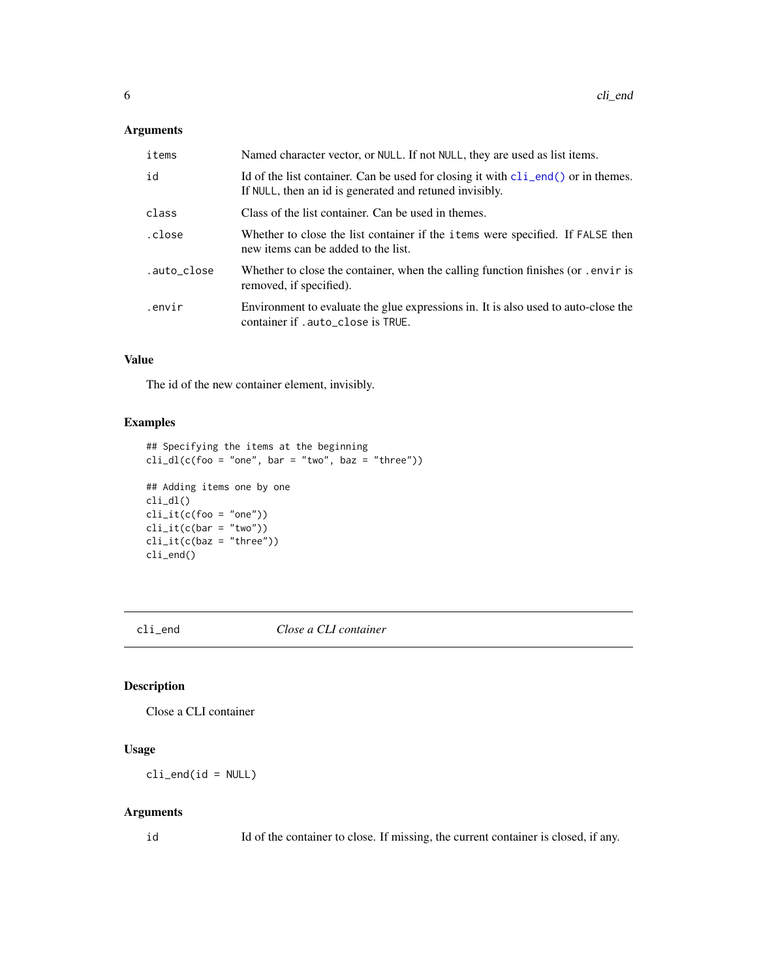#### <span id="page-5-0"></span>Arguments

| items       | Named character vector, or NULL. If not NULL, they are used as list items.                                                                             |
|-------------|--------------------------------------------------------------------------------------------------------------------------------------------------------|
| id          | Id of the list container. Can be used for closing it with $\text{cli\_end}()$ or in themes.<br>If NULL, then an id is generated and retuned invisibly. |
| class       | Class of the list container. Can be used in themes.                                                                                                    |
| .close      | Whether to close the list container if the items were specified. If FALSE then<br>new items can be added to the list.                                  |
| .auto_close | Whether to close the container, when the calling function finishes (or . envir is<br>removed, if specified).                                           |
| .envir      | Environment to evaluate the glue expressions in. It is also used to auto-close the<br>container if .auto_close is TRUE.                                |

# Value

The id of the new container element, invisibly.

#### Examples

```
## Specifying the items at the beginning
cli_dl(c(foo = "one", bar = "two", baz = "three"))## Adding items one by one
cli_dl()
cli\_it(c(foo = "one"))cli\_it(c(bar = "two"))cli\_it(c(baz = "three"))cli_end()
```
<span id="page-5-1"></span>

cli\_end *Close a CLI container*

# Description

Close a CLI container

#### Usage

 $cli$ <sub>\_</sub>end( $id$  = NULL)

#### Arguments

id Id of the container to close. If missing, the current container is closed, if any.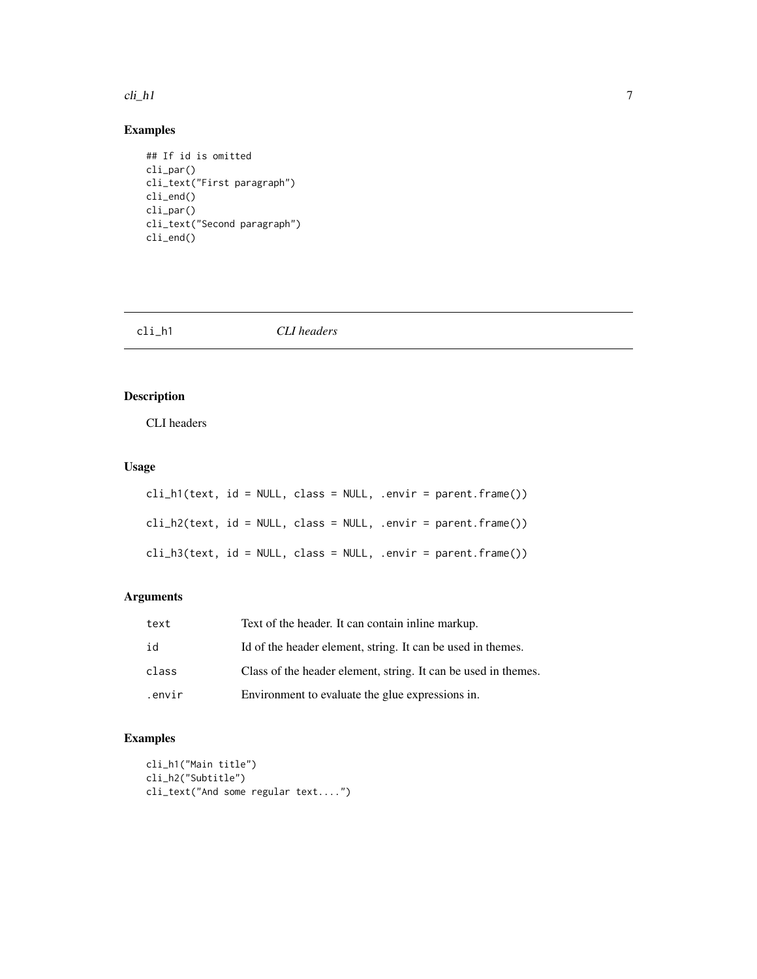#### <span id="page-6-0"></span> $\text{cli}_{\text{L}} h1$  7

# Examples

```
## If id is omitted
cli_par()
cli_text("First paragraph")
cli_end()
cli_par()
cli_text("Second paragraph")
cli_end()
```
<span id="page-6-1"></span>cli\_h1 *CLI headers*

# Description

CLI headers

# Usage

|  |  | cli_h1(text, id = NULL, class = NULL, .envir = parent.frame()) |
|--|--|----------------------------------------------------------------|
|  |  | cli_h2(text, id = NULL, class = NULL, .envir = parent.frame()) |
|  |  | cli_h3(text, id = NULL, class = NULL, .envir = parent.frame()) |

# Arguments

| text   | Text of the header. It can contain inline markup.              |
|--------|----------------------------------------------------------------|
| id     | Id of the header element, string. It can be used in themes.    |
| class  | Class of the header element, string. It can be used in themes. |
| .envir | Environment to evaluate the glue expressions in.               |

```
cli_h1("Main title")
cli_h2("Subtitle")
cli_text("And some regular text....")
```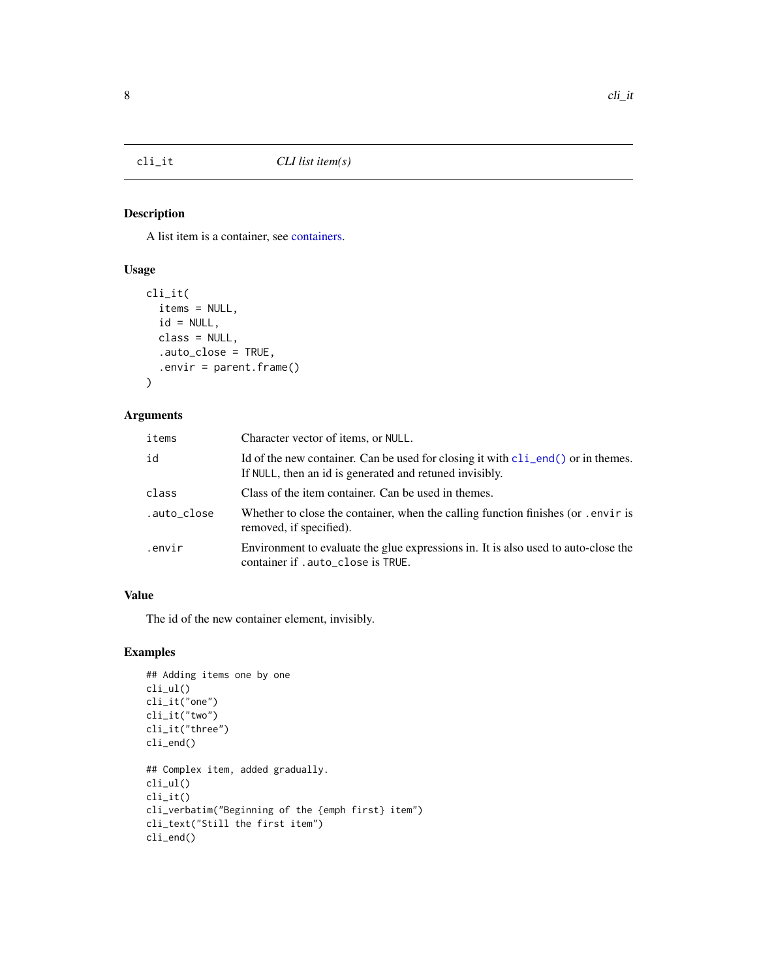<span id="page-7-1"></span><span id="page-7-0"></span>

# Description

A list item is a container, see [containers.](#page-13-1)

# Usage

```
cli_it(
  items = NULL,
  id = NULL,class = NULL,
  .auto_close = TRUE,
  .envir = parent.frame()
\mathcal{L}
```
# Arguments

| items       | Character vector of items, or NULL.                                                                                                                           |
|-------------|---------------------------------------------------------------------------------------------------------------------------------------------------------------|
| id          | Id of the new container. Can be used for closing it with $\text{cl}_\text{1 end}()$ or in the mes.<br>If NULL, then an id is generated and retuned invisibly. |
| class       | Class of the item container. Can be used in themes.                                                                                                           |
| .auto_close | Whether to close the container, when the calling function finishes (or .envir is<br>removed, if specified).                                                   |
| .envir      | Environment to evaluate the glue expressions in. It is also used to auto-close the<br>container if . auto_close is TRUE.                                      |

# Value

The id of the new container element, invisibly.

```
## Adding items one by one
cli_ul()
cli_it("one")
cli_it("two")
cli_it("three")
cli_end()
## Complex item, added gradually.
cli_ul()
cli_it()
cli_verbatim("Beginning of the {emph first} item")
cli_text("Still the first item")
cli_end()
```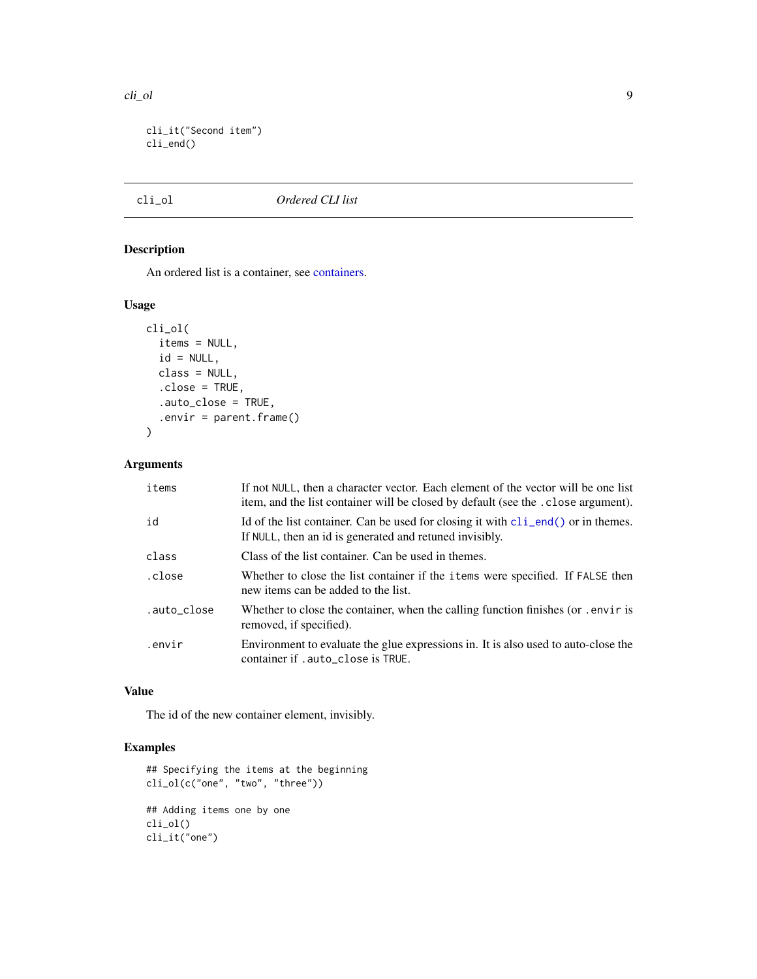```
cli_it("Second item")
cli_end()
```
#### <span id="page-8-1"></span>cli\_ol *Ordered CLI list*

# Description

An ordered list is a container, see [containers.](#page-13-1)

# Usage

```
cli_ol(
  items = NULL,
  id = NULL,class = NULL,
  .close = TRUE,
  .auto_close = TRUE,
  .envir = parent.frame()
\mathcal{L}
```
# Arguments

| items       | If not NULL, then a character vector. Each element of the vector will be one list<br>item, and the list container will be closed by default (see the . close argument). |
|-------------|-------------------------------------------------------------------------------------------------------------------------------------------------------------------------|
| id          | Id of the list container. Can be used for closing it with $\text{cli\_end}()$ or in themes.<br>If NULL, then an id is generated and retuned invisibly.                  |
| class       | Class of the list container. Can be used in themes.                                                                                                                     |
| .close      | Whether to close the list container if the <i>i</i> tems were specified. If FALSE then<br>new items can be added to the list.                                           |
| .auto_close | Whether to close the container, when the calling function finishes (or . envir is<br>removed, if specified).                                                            |
| .envir      | Environment to evaluate the glue expressions in. It is also used to auto-close the<br>container if .auto_close is TRUE.                                                 |

#### Value

The id of the new container element, invisibly.

```
## Specifying the items at the beginning
cli_ol(c("one", "two", "three"))
## Adding items one by one
cli_ol()
cli_it("one")
```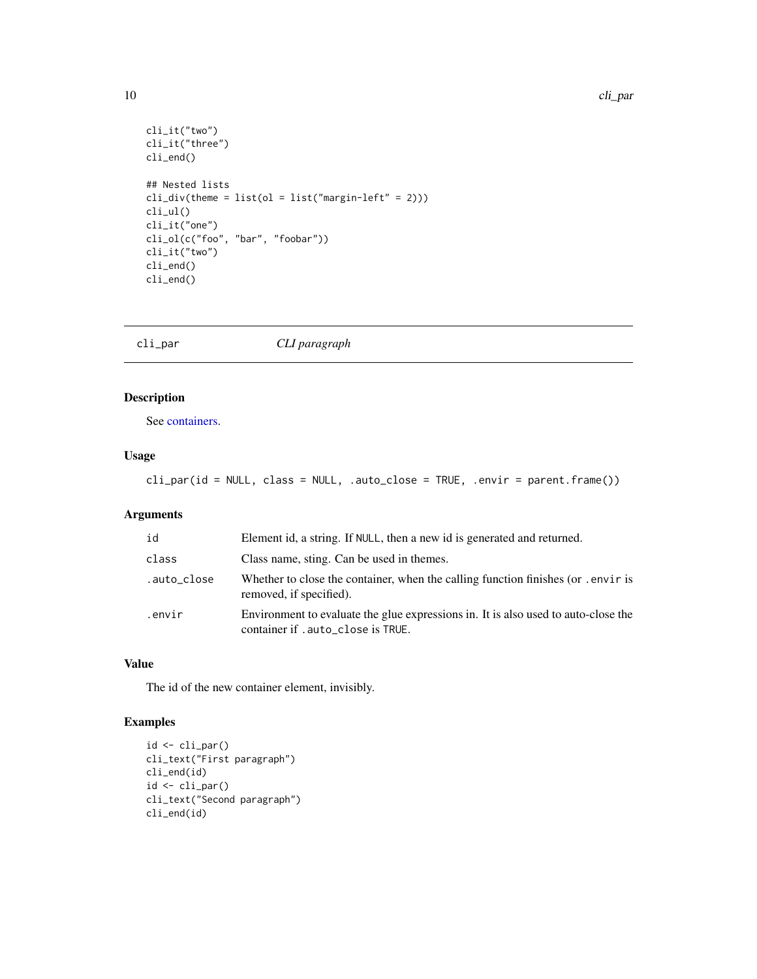```
cli_it("two")
cli_it("three")
cli_end()
## Nested lists
cli\_div(theme = list(o1 = list("margin-left" = 2)))cli_ul()
cli_it("one")
cli_ol(c("foo", "bar", "foobar"))
cli_it("two")
cli_end()
cli_end()
```
<span id="page-9-1"></span>

cli\_par *CLI paragraph*

# Description

See [containers.](#page-13-1)

# Usage

cli\_par(id = NULL, class = NULL, .auto\_close = TRUE, .envir = parent.frame())

# Arguments

| id          | Element id, a string. If NULL, then a new id is generated and returned.                                                  |
|-------------|--------------------------------------------------------------------------------------------------------------------------|
| class       | Class name, sting. Can be used in themes.                                                                                |
| .auto_close | Whether to close the container, when the calling function finishes (or . envir is<br>removed, if specified).             |
| .envir      | Environment to evaluate the glue expressions in. It is also used to auto-close the<br>container if . auto_close is TRUE. |

#### Value

The id of the new container element, invisibly.

```
id <- cli_par()
cli_text("First paragraph")
cli_end(id)
id <- cli_par()
cli_text("Second paragraph")
cli_end(id)
```
<span id="page-9-0"></span>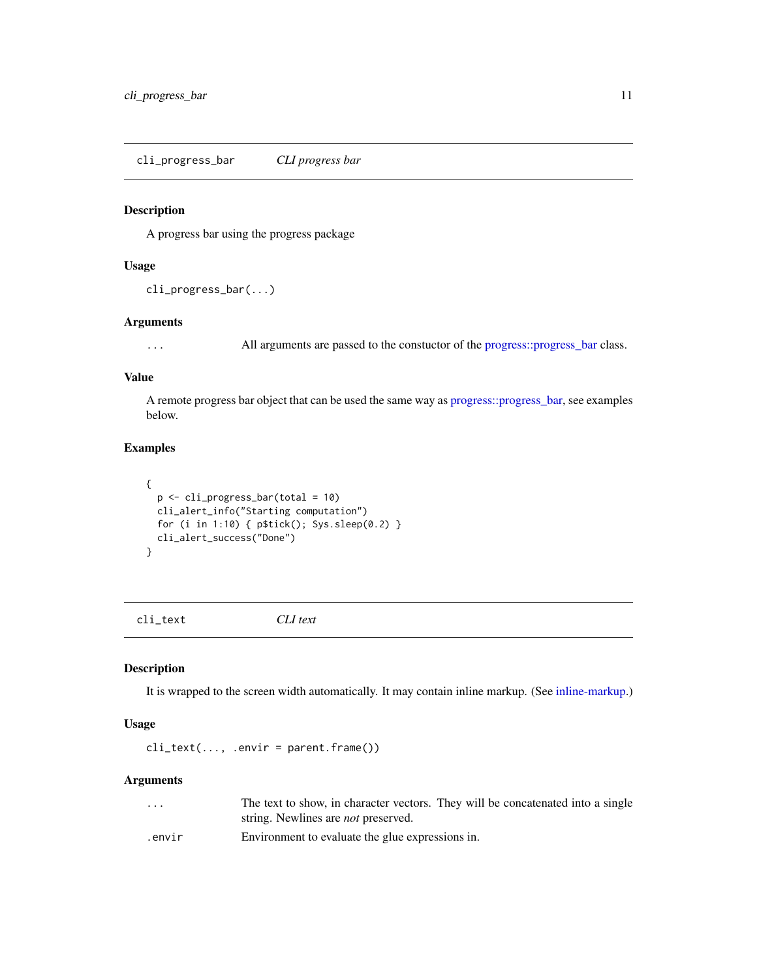<span id="page-10-2"></span><span id="page-10-0"></span>cli\_progress\_bar *CLI progress bar*

# Description

A progress bar using the progress package

# Usage

```
cli_progress_bar(...)
```
#### Arguments

... All arguments are passed to the constuctor of the [progress::progress\\_bar](#page-0-0) class.

# Value

A remote progress bar object that can be used the same way as [progress::progress\\_bar,](#page-0-0) see examples below.

# Examples

```
{
  p <- cli_progress_bar(total = 10)
  cli_alert_info("Starting computation")
  for (i in 1:10) { p$tick(); Sys.sleep(0.2) }
  cli_alert_success("Done")
}
```
<span id="page-10-1"></span>cli\_text *CLI text*

# Description

It is wrapped to the screen width automatically. It may contain inline markup. (See [inline-markup.](#page-14-1))

#### Usage

 $cli_text(..., .envir = parent.frame())$ 

#### Arguments

| $\cdot$ $\cdot$ $\cdot$ | The text to show, in character vectors. They will be concatenated into a single |
|-------------------------|---------------------------------------------------------------------------------|
|                         | string. Newlines are <i>not</i> preserved.                                      |
| .envir                  | Environment to evaluate the glue expressions in.                                |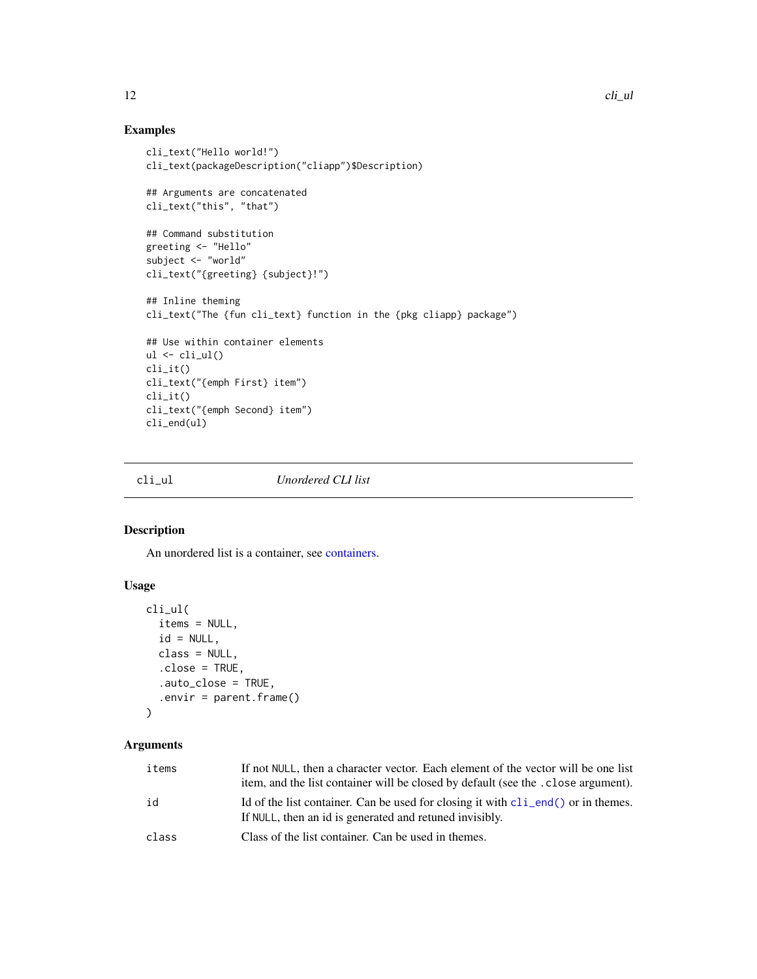# Examples

```
cli_text("Hello world!")
cli_text(packageDescription("cliapp")$Description)
## Arguments are concatenated
cli_text("this", "that")
## Command substitution
greeting <- "Hello"
subject <- "world"
cli_text("{greeting} {subject}!")
## Inline theming
cli_text("The {fun cli_text} function in the {pkg cliapp} package")
## Use within container elements
ul \leftarrow \text{cli}_\text{ul}()cli_it()
cli_text("{emph First} item")
cli_it()
cli_text("{emph Second} item")
cli_end(ul)
```
<span id="page-11-1"></span>

cli\_ul *Unordered CLI list*

# Description

An unordered list is a container, see [containers.](#page-13-1)

# Usage

```
cli_ul(
  items = NULL,
  id = NULL,class = NULL,
  .close = TRUE,
  .auto_close = TRUE,
  .envir = parent.frame()
)
```
# Arguments

| items | If not NULL, then a character vector. Each element of the vector will be one list<br>item, and the list container will be closed by default (see the . close argument). |
|-------|-------------------------------------------------------------------------------------------------------------------------------------------------------------------------|
| id    | Id of the list container. Can be used for closing it with $cli$ end() or in themes.<br>If NULL, then an id is generated and retuned invisibly.                          |
| class | Class of the list container. Can be used in themes.                                                                                                                     |

<span id="page-11-0"></span>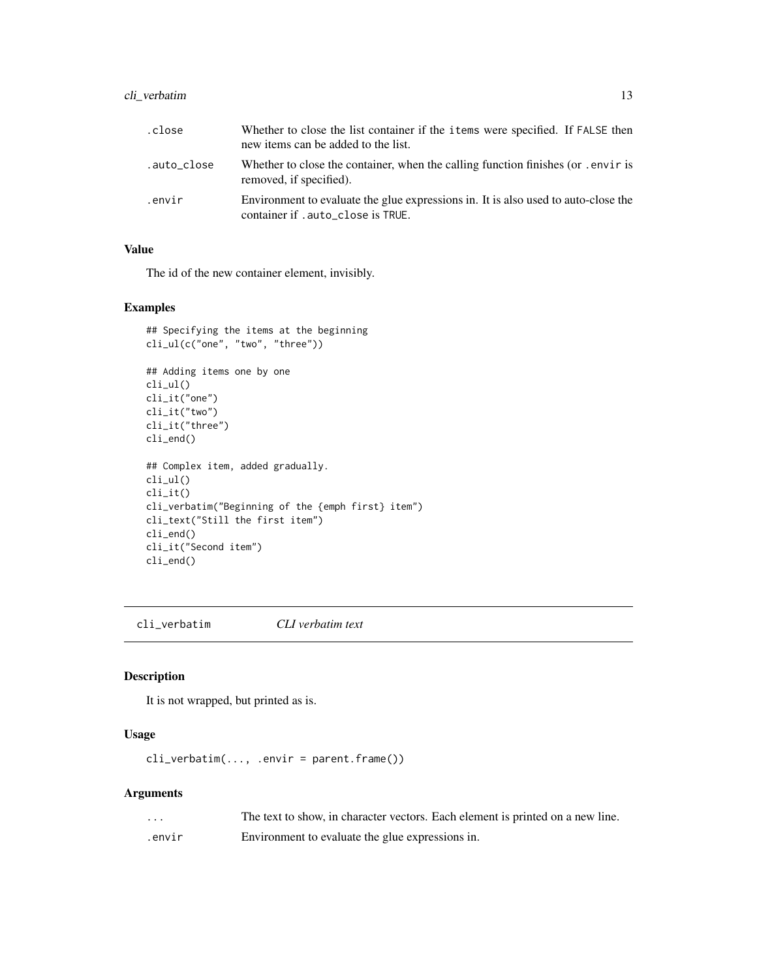# <span id="page-12-0"></span>cli\_verbatim 13

| .close      | Whether to close the list container if the items were specified. If FALSE then<br>new items can be added to the list.    |
|-------------|--------------------------------------------------------------------------------------------------------------------------|
| .auto_close | Whether to close the container, when the calling function finishes (or . envir is<br>removed, if specified).             |
| .envir      | Environment to evaluate the glue expressions in. It is also used to auto-close the<br>container if . auto_close is TRUE. |

# Value

The id of the new container element, invisibly.

#### Examples

```
## Specifying the items at the beginning
cli_ul(c("one", "two", "three"))
## Adding items one by one
cli_ul()
cli_it("one")
cli_it("two")
cli_it("three")
cli_end()
## Complex item, added gradually.
cli_ul()
cli_it()
cli_verbatim("Beginning of the {emph first} item")
cli_text("Still the first item")
cli_end()
cli_it("Second item")
cli_end()
```
<span id="page-12-1"></span>cli\_verbatim *CLI verbatim text*

# Description

It is not wrapped, but printed as is.

#### Usage

```
cli_verbatim(..., .envir = parent.frame())
```
# Arguments

| $\cdots$ | The text to show, in character vectors. Each element is printed on a new line. |
|----------|--------------------------------------------------------------------------------|
| .envir   | Environment to evaluate the glue expressions in.                               |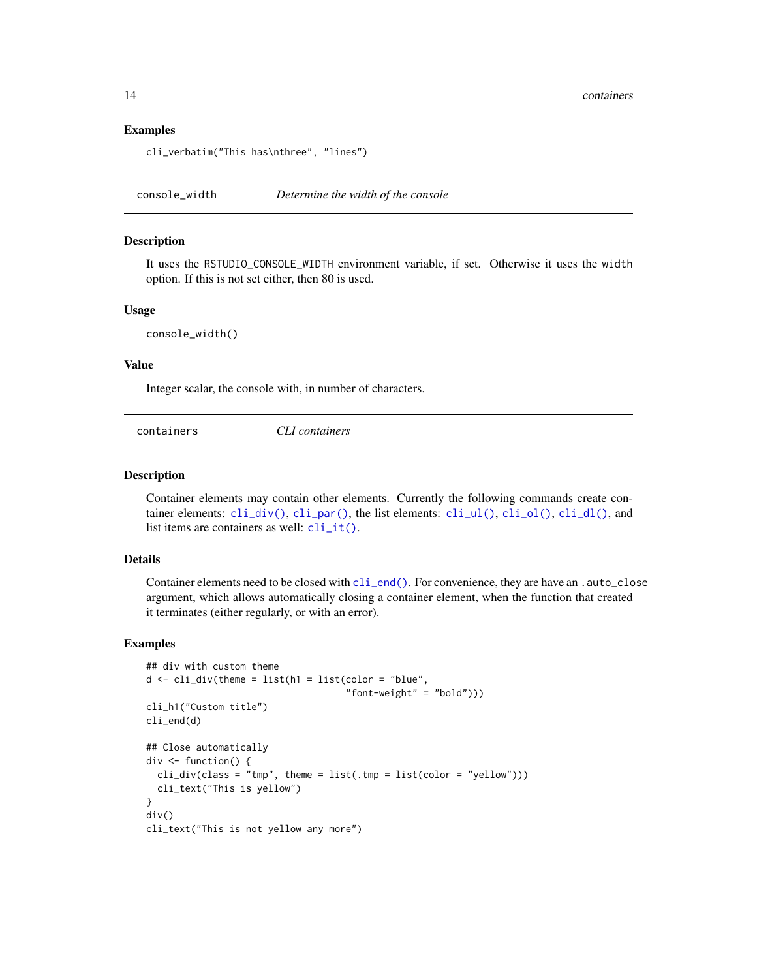#### Examples

```
cli_verbatim("This has\nthree", "lines")
```
console\_width *Determine the width of the console*

#### Description

It uses the RSTUDIO\_CONSOLE\_WIDTH environment variable, if set. Otherwise it uses the width option. If this is not set either, then 80 is used.

#### Usage

console\_width()

#### Value

Integer scalar, the console with, in number of characters.

<span id="page-13-1"></span>

| containers | CLI containers |  |  |
|------------|----------------|--|--|
|------------|----------------|--|--|

#### Description

Container elements may contain other elements. Currently the following commands create container elements:  $\text{cli\_div}()$ ,  $\text{cli\_par}()$ , the list elements:  $\text{cli\_ul}()$ ,  $\text{cli\_dl}()$ ,  $\text{cli\_dl}()$ , and list items are containers as well:  $cli_i$   $i(t)$ .

# Details

Container elements need to be closed with [cli\\_end\(\)](#page-5-1). For convenience, they are have an .auto\_close argument, which allows automatically closing a container element, when the function that created it terminates (either regularly, or with an error).

```
## div with custom theme
d <- cli_div(theme = list(h1 = list(color = "blue",
                                    "font-weight" = "bold")))
cli_h1("Custom title")
cli_end(d)
## Close automatically
div <- function() {
 cli\_div(class = "tmp", then = list(.tmp = list(color = "yellow"))cli_text("This is yellow")
}
div()
cli_text("This is not yellow any more")
```
<span id="page-13-0"></span>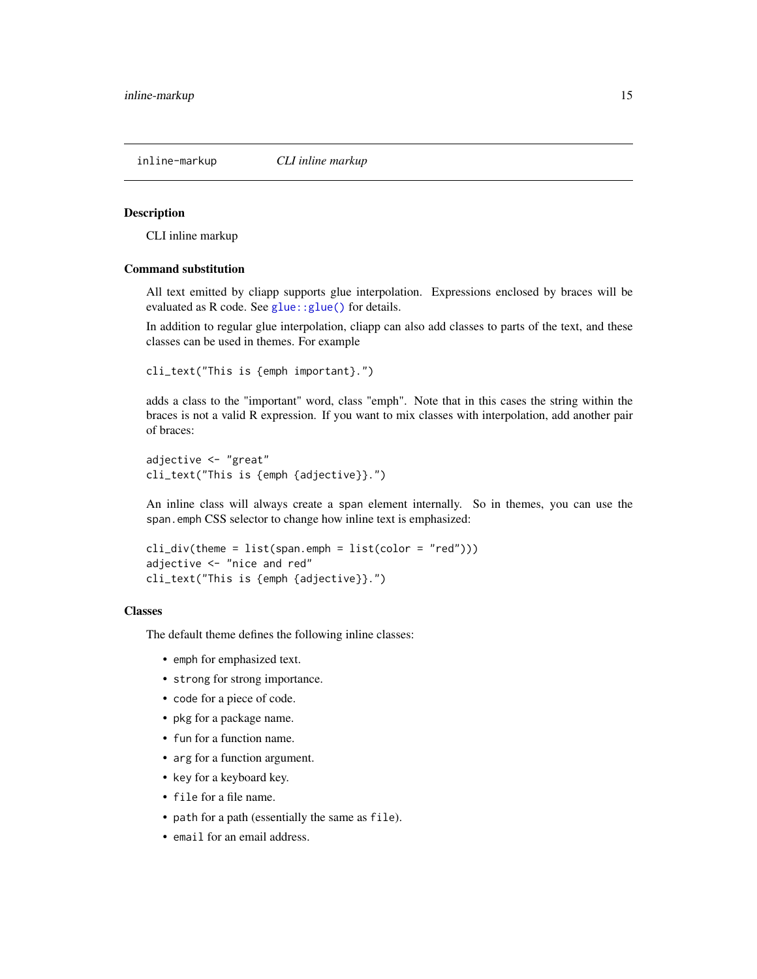<span id="page-14-1"></span><span id="page-14-0"></span>

#### Description

CLI inline markup

#### Command substitution

All text emitted by cliapp supports glue interpolation. Expressions enclosed by braces will be evaluated as R code. See glue:: glue() for details.

In addition to regular glue interpolation, cliapp can also add classes to parts of the text, and these classes can be used in themes. For example

```
cli_text("This is {emph important}.")
```
adds a class to the "important" word, class "emph". Note that in this cases the string within the braces is not a valid R expression. If you want to mix classes with interpolation, add another pair of braces:

adjective <- "great" cli\_text("This is {emph {adjective}}.")

An inline class will always create a span element internally. So in themes, you can use the span.emph CSS selector to change how inline text is emphasized:

```
cli\_div(theme = list(span.emph = list(color = "red"))adjective <- "nice and red"
cli_text("This is {emph {adjective}}.")
```
#### Classes

The default theme defines the following inline classes:

- emph for emphasized text.
- strong for strong importance.
- code for a piece of code.
- pkg for a package name.
- fun for a function name.
- arg for a function argument.
- key for a keyboard key.
- file for a file name.
- path for a path (essentially the same as file).
- email for an email address.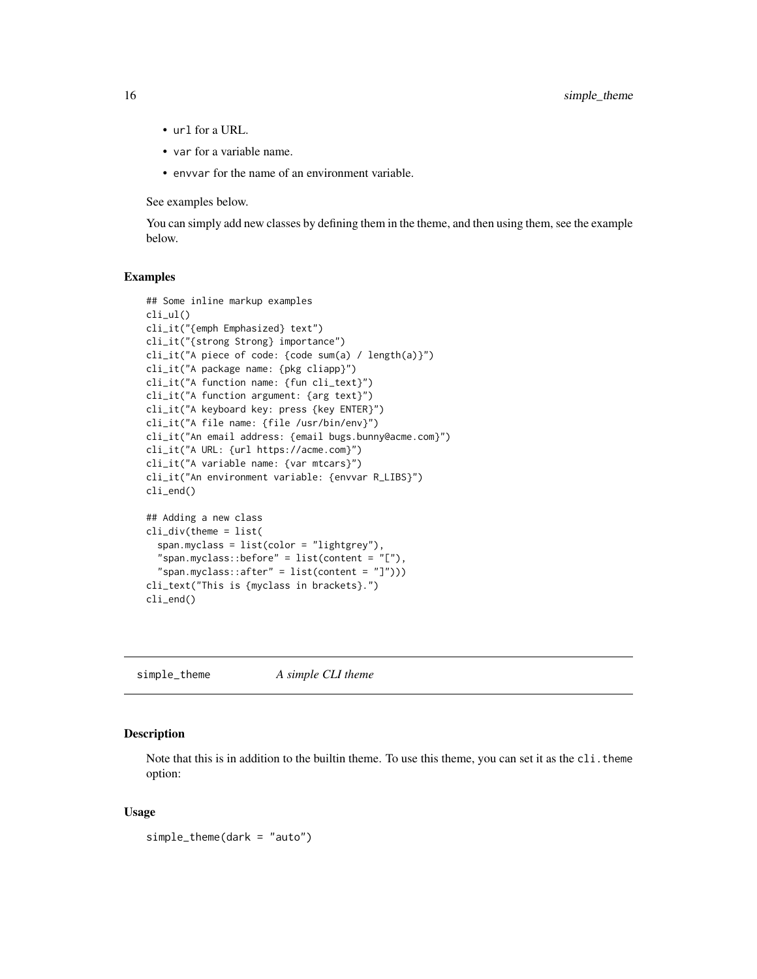- url for a URL.
- var for a variable name.
- envvar for the name of an environment variable.

See examples below.

You can simply add new classes by defining them in the theme, and then using them, see the example below.

#### Examples

```
## Some inline markup examples
cli_ul()
cli_it("{emph Emphasized} text")
cli_it("{strong Strong} importance")
cli_it("A piece of code: {code sum(a) / length(a)}")
cli_it("A package name: {pkg cliapp}")
cli_it("A function name: {fun cli_text}")
cli_it("A function argument: {arg text}")
cli_it("A keyboard key: press {key ENTER}")
cli_it("A file name: {file /usr/bin/env}")
cli_it("An email address: {email bugs.bunny@acme.com}")
cli_it("A URL: {url https://acme.com}")
cli_it("A variable name: {var mtcars}")
cli_it("An environment variable: {envvar R_LIBS}")
cli_end()
## Adding a new class
cli_div(theme = list(
  span.myclass = list(color = "lightgrey"),
  "span.myclass::before" = list(content = "[}'),
  "span.myclass::after" = list(content = "]")))
cli_text("This is {myclass in brackets}.")
cli_end()
```
<span id="page-15-1"></span>simple\_theme *A simple CLI theme*

#### Description

Note that this is in addition to the builtin theme. To use this theme, you can set it as the cli.theme option:

```
simple_theme(dark = "auto")
```
<span id="page-15-0"></span>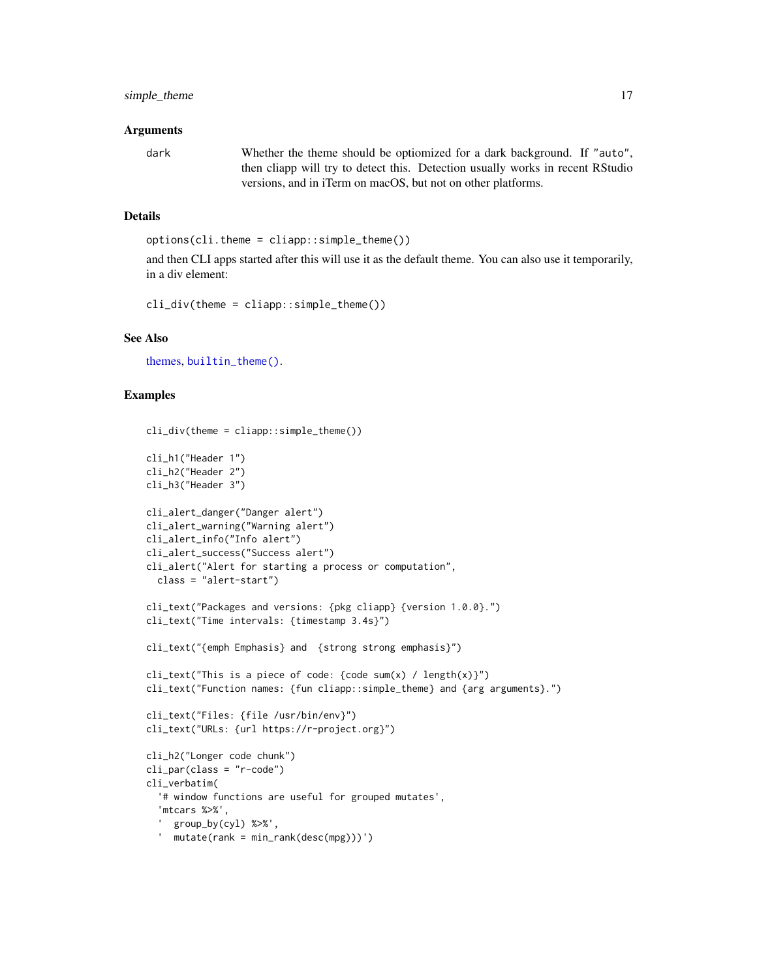#### <span id="page-16-0"></span>Arguments

dark Whether the theme should be optiomized for a dark background. If "auto", then cliapp will try to detect this. Detection usually works in recent RStudio versions, and in iTerm on macOS, but not on other platforms.

#### Details

```
options(cli.theme = cliapp::simple_theme())
```
and then CLI apps started after this will use it as the default theme. You can also use it temporarily, in a div element:

cli\_div(theme = cliapp::simple\_theme())

#### See Also

[themes,](#page-18-1) [builtin\\_theme\(\)](#page-1-1).

```
cli_div(theme = clique::simple_theme()cli_h1("Header 1")
cli_h2("Header 2")
cli_h3("Header 3")
cli_alert_danger("Danger alert")
cli_alert_warning("Warning alert")
cli_alert_info("Info alert")
cli_alert_success("Success alert")
cli_alert("Alert for starting a process or computation",
  class = "alert-start")
cli_text("Packages and versions: {pkg cliapp} {version 1.0.0}.")
cli_text("Time intervals: {timestamp 3.4s}")
cli_text("{emph Emphasis} and {strong strong emphasis}")
cli_text("This is a piece of code: {code sum(x) / length(x)}")
cli_text("Function names: {fun cliapp::simple_theme} and {arg arguments}.")
cli_text("Files: {file /usr/bin/env}")
cli_text("URLs: {url https://r-project.org}")
cli_h2("Longer code chunk")
cli_par(class = "r-code")
cli_verbatim(
  '# window functions are useful for grouped mutates',
  'mtcars %>%',
  ' group_by(cyl) %>%',
  ' mutate(rank = min_rank(desc(mpg)))')
```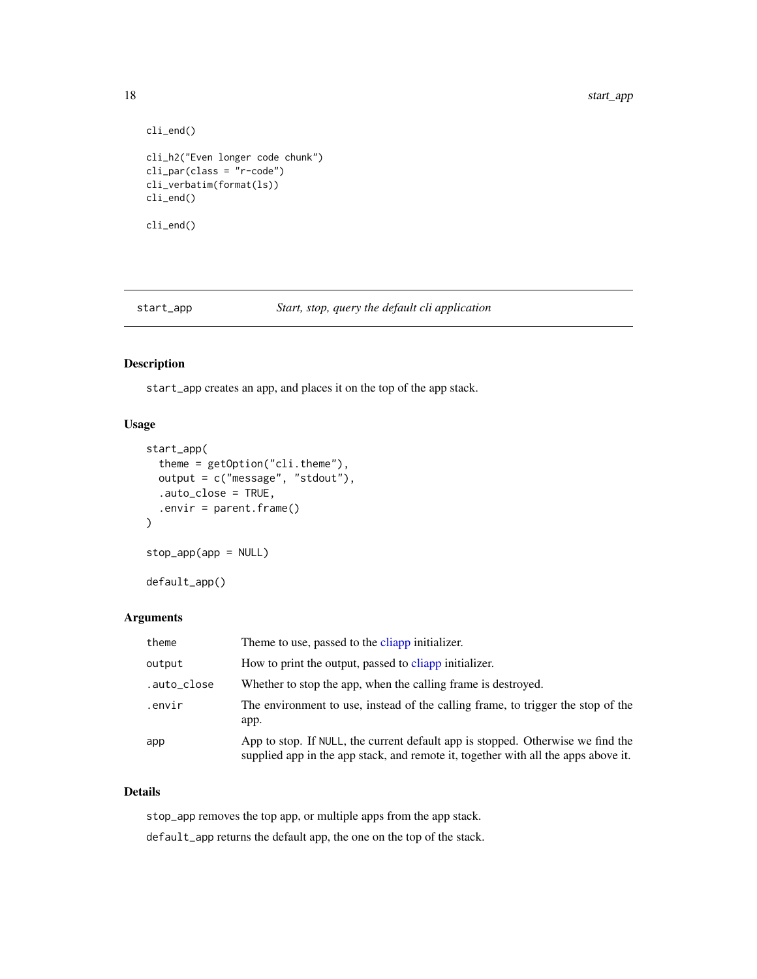```
cli_end()
cli_h2("Even longer code chunk")
cli_par(class = "r-code")
cli_verbatim(format(ls))
cli_end()
cli_end()
```
<span id="page-17-1"></span>start\_app *Start, stop, query the default cli application*

#### Description

start\_app creates an app, and places it on the top of the app stack.

#### Usage

```
start_app(
  theme = getOption("cli.theme"),
 output = c("message", "stdout"),
  .auto_close = TRUE,
  .envir = parent.frame()
\mathcal{L}stop_app(app = NULL)
```
# Arguments

default\_app()

| theme       | Theme to use, passed to the cliapp initializer.                                                                                                                       |
|-------------|-----------------------------------------------------------------------------------------------------------------------------------------------------------------------|
| output      | How to print the output, passed to cliapp initializer.                                                                                                                |
| .auto_close | Whether to stop the app, when the calling frame is destroyed.                                                                                                         |
| .envir      | The environment to use, instead of the calling frame, to trigger the stop of the<br>app.                                                                              |
| app         | App to stop. If NULL, the current default app is stopped. Otherwise we find the<br>supplied app in the app stack, and remote it, together with all the apps above it. |

# Details

stop\_app removes the top app, or multiple apps from the app stack. default\_app returns the default app, the one on the top of the stack.

<span id="page-17-0"></span>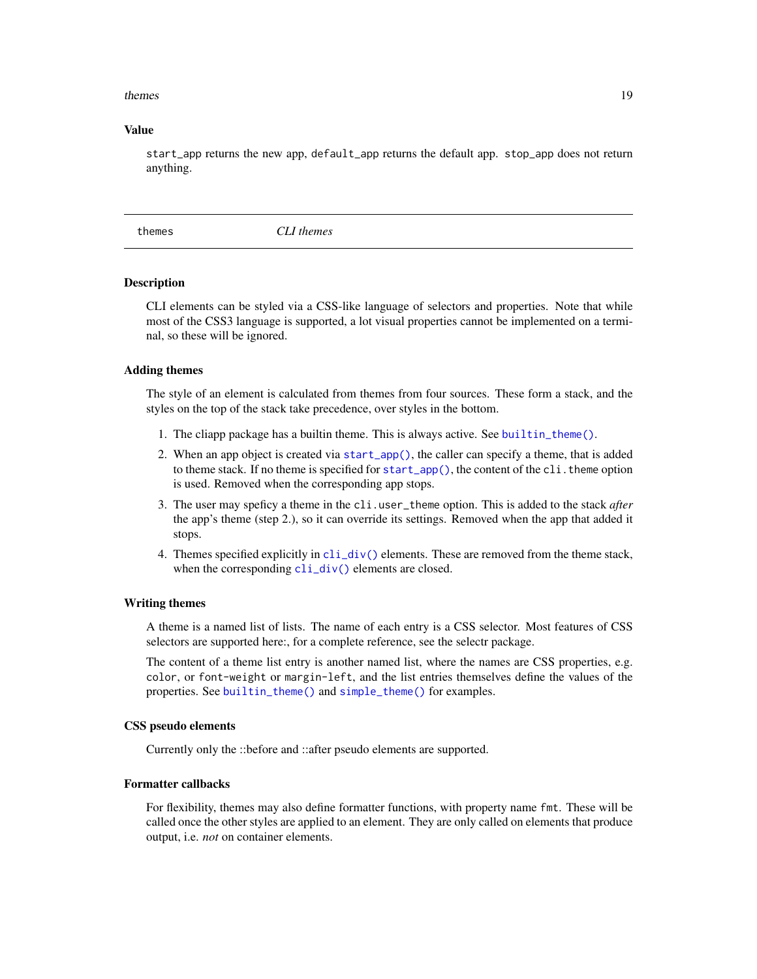#### <span id="page-18-0"></span>themes and the state of the state of the state of the state of the state of the state of the state of the state of the state of the state of the state of the state of the state of the state of the state of the state of the

#### Value

start\_app returns the new app, default\_app returns the default app. stop\_app does not return anything.

<span id="page-18-1"></span>themes *CLI themes*

#### **Description**

CLI elements can be styled via a CSS-like language of selectors and properties. Note that while most of the CSS3 language is supported, a lot visual properties cannot be implemented on a terminal, so these will be ignored.

#### Adding themes

The style of an element is calculated from themes from four sources. These form a stack, and the styles on the top of the stack take precedence, over styles in the bottom.

- 1. The cliapp package has a builtin theme. This is always active. See [builtin\\_theme\(\)](#page-1-1).
- 2. When an app object is created via [start\\_app\(\)](#page-17-1), the caller can specify a theme, that is added to theme stack. If no theme is specified for [start\\_app\(\)](#page-17-1), the content of the cli. theme option is used. Removed when the corresponding app stops.
- 3. The user may speficy a theme in the cli.user\_theme option. This is added to the stack *after* the app's theme (step 2.), so it can override its settings. Removed when the app that added it stops.
- 4. Themes specified explicitly in  $\text{cli\_div}()$  elements. These are removed from the theme stack, when the corresponding  $cli\_div()$  elements are closed.

#### Writing themes

A theme is a named list of lists. The name of each entry is a CSS selector. Most features of CSS selectors are supported here:, for a complete reference, see the selectr package.

The content of a theme list entry is another named list, where the names are CSS properties, e.g. color, or font-weight or margin-left, and the list entries themselves define the values of the properties. See [builtin\\_theme\(\)](#page-1-1) and [simple\\_theme\(\)](#page-15-1) for examples.

#### CSS pseudo elements

Currently only the ::before and ::after pseudo elements are supported.

#### Formatter callbacks

For flexibility, themes may also define formatter functions, with property name fmt. These will be called once the other styles are applied to an element. They are only called on elements that produce output, i.e. *not* on container elements.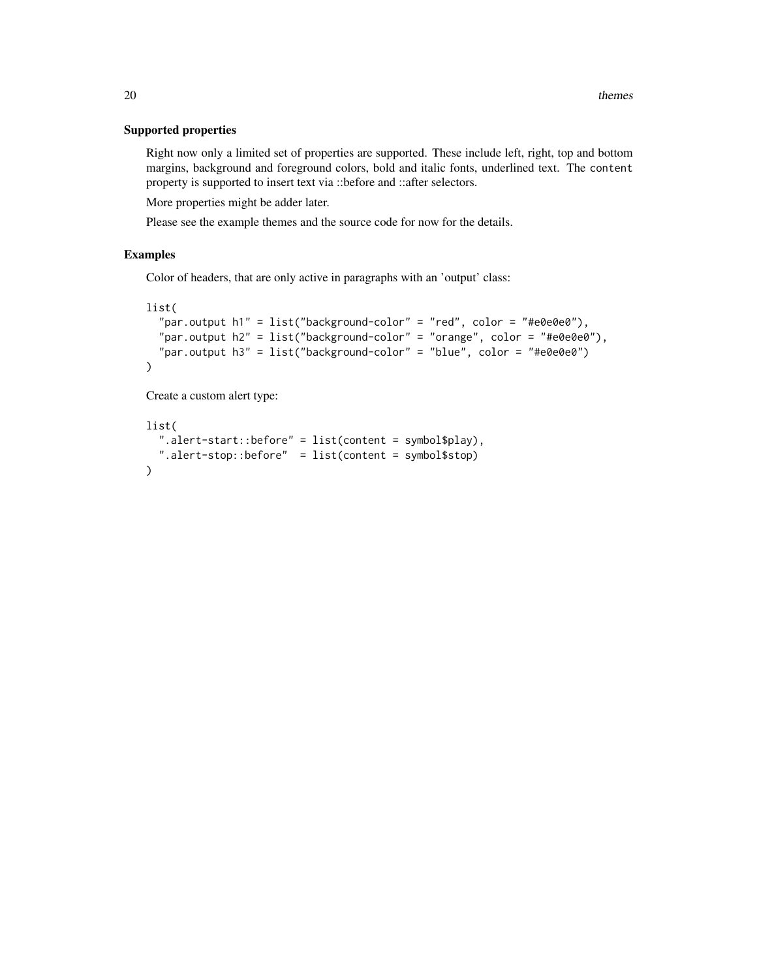#### Supported properties

Right now only a limited set of properties are supported. These include left, right, top and bottom margins, background and foreground colors, bold and italic fonts, underlined text. The content property is supported to insert text via ::before and ::after selectors.

More properties might be adder later.

Please see the example themes and the source code for now for the details.

#### Examples

Color of headers, that are only active in paragraphs with an 'output' class:

```
list(
```

```
"par.output h1" = list("background-color" = "red", color = "#e0e0e0"),"par.output h2" = list("background-color" = "orange", color = "#e0e0e0"),
  "par.output h3" = list("background-color" = "blue", color = "#e0e0e0")
)
```
Create a custom alert type:

```
list(
  ".alert-start::before" = list(content = symbol$play),
 ".alert-stop::before" = list(content = symbol$stop)
\mathcal{L}
```